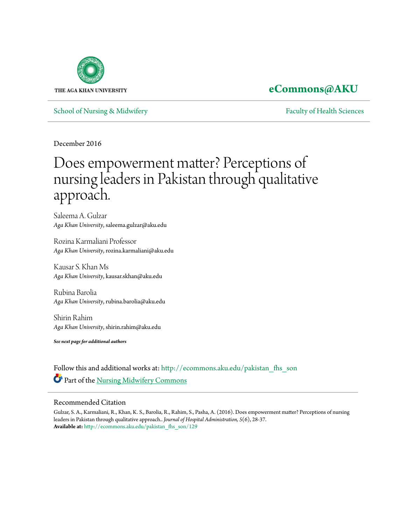

## **[eCommons@AKU](http://ecommons.aku.edu?utm_source=ecommons.aku.edu%2Fpakistan_fhs_son%2F129&utm_medium=PDF&utm_campaign=PDFCoverPages)**

[School of Nursing & Midwifery](http://ecommons.aku.edu/pakistan_fhs_son?utm_source=ecommons.aku.edu%2Fpakistan_fhs_son%2F129&utm_medium=PDF&utm_campaign=PDFCoverPages) **[Faculty of Health Sciences](http://ecommons.aku.edu/pakistan_fhs?utm_source=ecommons.aku.edu%2Fpakistan_fhs_son%2F129&utm_medium=PDF&utm_campaign=PDFCoverPages)** Faculty of Health Sciences

December 2016

# Does empowerment matter? Perceptions of nursing leaders in Pakistan through qualitative approach.

Saleema A. Gulzar *Aga Khan University*, saleema.gulzar@aku.edu

Rozina Karmaliani Professor *Aga Khan University*, rozina.karmaliani@aku.edu

Kausar S. Khan Ms *Aga Khan University*, kausar.skhan@aku.edu

Rubina Barolia *Aga Khan University*, rubina.barolia@aku.edu

Shirin Rahim *Aga Khan University*, shirin.rahim@aku.edu

*See next page for additional authors*

Follow this and additional works at: [http://ecommons.aku.edu/pakistan\\_fhs\\_son](http://ecommons.aku.edu/pakistan_fhs_son?utm_source=ecommons.aku.edu%2Fpakistan_fhs_son%2F129&utm_medium=PDF&utm_campaign=PDFCoverPages) Part of the [Nursing Midwifery Commons](http://network.bepress.com/hgg/discipline/722?utm_source=ecommons.aku.edu%2Fpakistan_fhs_son%2F129&utm_medium=PDF&utm_campaign=PDFCoverPages)

### Recommended Citation

Gulzar, S. A., Karmaliani, R., Khan, K. S., Barolia, R., Rahim, S., Pasha, A. (2016). Does empowerment matter? Perceptions of nursing leaders in Pakistan through qualitative approach.. *Journal of Hospital Administration, 5*(6), 28-37. **Available at:** [http://ecommons.aku.edu/pakistan\\_fhs\\_son/129](http://ecommons.aku.edu/pakistan_fhs_son/129)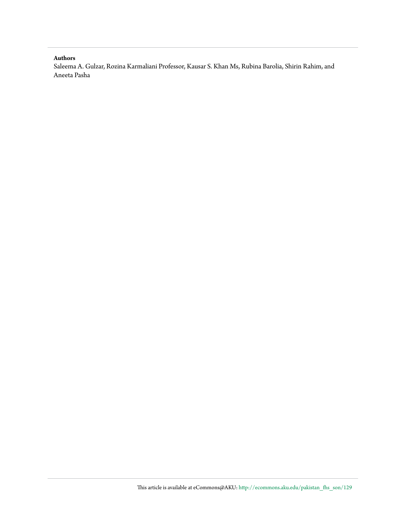#### **Authors**

Saleema A. Gulzar, Rozina Karmaliani Professor, Kausar S. Khan Ms, Rubina Barolia, Shirin Rahim, and Aneeta Pasha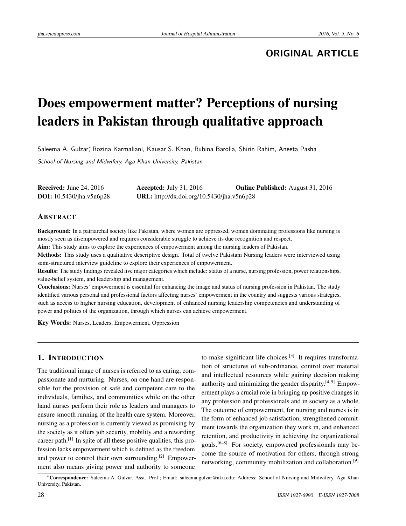### **ORIGINAL ARTICLE**

# Does empowerment matter? Perceptions of nursing leaders in Pakistan through qualitative approach

Saleema A. Gulzar,\* Rozina Karmaliani, Kausar S. Khan, Rubina Barolia, Shirin Rahim, Aneeta Pasha

School of Nursing and Midwifery, Aga Khan University, Pakistan

Received: June 24, 2016 Accepted: July 31, 2016 Online Published: August 31, 2016 DOI: 10.5430/jha.v5n6p28 URL: http://dx.doi.org/10.5430/jha.v5n6p28

#### ABSTRACT

Background: In a patriarchal society like Pakistan, where women are oppressed, women dominating professions like nursing is mostly seen as disempowered and requires considerable struggle to achieve its due recognition and respect.

Aim: This study aims to explore the experiences of empowerment among the nursing leaders of Pakistan.

Methods: This study uses a qualitative descriptive design. Total of twelve Pakistani Nursing leaders were interviewed using semi-structured interview guideline to explore their experiences of empowerment.

Results: The study findings revealed five major categories which include: status of a nurse, nursing profession, power relationships, value-belief system, and leadership and management.

Conclusions: Nurses' empowerment is essential for enhancing the image and status of nursing profession in Pakistan. The study identified various personal and professional factors affecting nurses' empowerment in the country and suggests various strategies, such as access to higher nursing education, development of enhanced nursing leadership competencies and understanding of power and politics of the organization, through which nurses can achieve empowerment.

Key Words: Nurses, Leaders, Empowerment, Oppression

#### 1. INTRODUCTION

The traditional image of nurses is referred to as caring, compassionate and nurturing. Nurses, on one hand are responsible for the provision of safe and competent care to the individuals, families, and communities while on the other hand nurses perform their role as leaders and managers to ensure smooth running of the health care system. Moreover, nursing as a profession is currently viewed as promising by the society as it offers job security, mobility and a rewarding career path.<sup>[\[1\]](#page-10-0)</sup> In spite of all these positive qualities, this profession lacks empowerment which is defined as the freedom and power to control their own surrounding.[\[2\]](#page-10-1) Empowerment also means giving power and authority to someone

to make significant life choices.<sup>[\[3\]](#page-10-2)</sup> It requires transformation of structures of sub-ordinance, control over material and intellectual resources while gaining decision making authority and minimizing the gender disparity. $[4,5]$  $[4,5]$  Empowerment plays a crucial role in bringing up positive changes in any profession and professionals and in society as a whole. The outcome of empowerment, for nursing and nurses is in the form of enhanced job satisfaction, strengthened commitment towards the organization they work in, and enhanced retention, and productivity in achieving the organizational goals.[\[6](#page-10-5)[–8\]](#page-10-6) For society, empowered professionals may become the source of motivation for others, through strong networking, community mobilization and collaboration.<sup>[\[9\]](#page-10-7)</sup>

<sup>∗</sup>Correspondence: Saleema A. Gulzar, Asst. Prof.; Email: saleema.gulzar@aku.edu; Address: School of Nursing and Midwifery, Aga Khan University, Pakistan.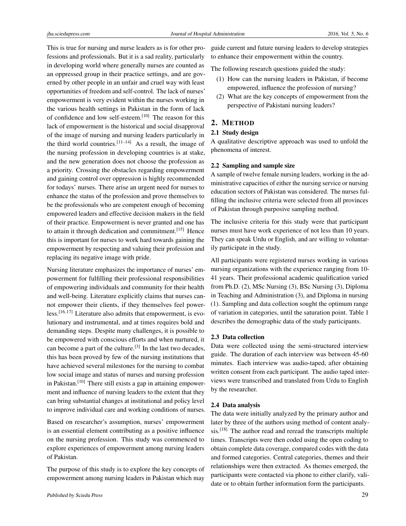This is true for nursing and nurse leaders as is for other professions and professionals. But it is a sad reality, particularly in developing world where generally nurses are counted as an oppressed group in their practice settings, and are governed by other people in an unfair and cruel way with least opportunities of freedom and self-control. The lack of nurses' empowerment is very evident within the nurses working in the various health settings in Pakistan in the form of lack of confidence and low self-esteem.[\[10\]](#page-10-8) The reason for this lack of empowerment is the historical and social disapproval of the image of nursing and nursing leaders particularly in the third world countries.<sup>[\[11](#page-10-9)[–14\]](#page-10-10)</sup> As a result, the image of the nursing profession in developing countries is at stake, and the new generation does not choose the profession as a priority. Crossing the obstacles regarding empowerment and gaining control over oppression is highly recommended for todays' nurses. There arise an urgent need for nurses to enhance the status of the profession and prove themselves to be the professionals who are competent enough of becoming empowered leaders and effective decision makers in the field of their practice. Empowerment is never granted and one has to attain it through dedication and commitment.<sup>[\[15\]](#page-10-11)</sup> Hence this is important for nurses to work hard towards gaining the empowerment by respecting and valuing their profession and replacing its negative image with pride.

Nursing literature emphasizes the importance of nurses' empowerment for fulfilling their professional responsibilities of empowering individuals and community for their health and well-being. Literature explicitly claims that nurses cannot empower their clients, if they themselves feel powerless.[\[16,](#page-10-12) [17\]](#page-10-13) Literature also admits that empowerment, is evolutionary and instrumental, and at times requires bold and demanding steps. Despite many challenges, it is possible to be empowered with conscious efforts and when nurtured, it can become a part of the culture.<sup>[\[3\]](#page-10-2)</sup> In the last two decades, this has been proved by few of the nursing institutions that have achieved several milestones for the nursing to combat low social image and status of nurses and nursing profession in Pakistan.<sup>[\[10\]](#page-10-8)</sup> There still exists a gap in attaining empowerment and influence of nursing leaders to the extent that they can bring substantial changes at institutional and policy level to improve individual care and working conditions of nurses.

Based on researcher's assumption, nurses' empowerment is an essential element contributing as a positive influence on the nursing profession. This study was commenced to explore experiences of empowerment among nursing leaders of Pakistan.

The purpose of this study is to explore the key concepts of empowerment among nursing leaders in Pakistan which may guide current and future nursing leaders to develop strategies to enhance their empowerment within the country.

The following research questions guided the study:

- (1) How can the nursing leaders in Pakistan, if become empowered, influence the profession of nursing?
- (2) What are the key concepts of empowerment from the perspective of Pakistani nursing leaders?

#### 2. METHOD

#### 2.1 Study design

A qualitative descriptive approach was used to unfold the phenomena of interest.

#### 2.2 Sampling and sample size

A sample of twelve female nursing leaders, working in the administrative capacities of either the nursing service or nursing education sectors of Pakistan was considered. The nurses fulfilling the inclusive criteria were selected from all provinces of Pakistan through purposive sampling method.

The inclusive criteria for this study were that participant nurses must have work experience of not less than 10 years. They can speak Urdu or English, and are willing to voluntarily participate in the study.

All participants were registered nurses working in various nursing organizations with the experience ranging from 10- 41 years. Their professional academic qualification varied from Ph.D. (2), MSc Nursing (3), BSc Nursing (3), Diploma in Teaching and Administration (3), and Diploma in nursing (1). Sampling and data collection sought the optimum range of variation in categories, until the saturation point. Table 1 describes the demographic data of the study participants.

#### 2.3 Data collection

Data were collected using the semi-structured interview guide. The duration of each interview was between 45-60 minutes. Each interview was audio-taped, after obtaining written consent from each participant. The audio taped interviews were transcribed and translated from Urdu to English by the researcher.

#### 2.4 Data analysis

The data were initially analyzed by the primary author and later by three of the authors using method of content analy- $sis.^{[18]}$  $sis.^{[18]}$  $sis.^{[18]}$  The author read and reread the transcripts multiple times. Transcripts were then coded using the open coding to obtain complete data coverage, compared codes with the data and formed categories. Central categories, themes and their relationships were then extracted. As themes emerged, the participants were contacted via phone to either clarify, validate or to obtain further information form the participants.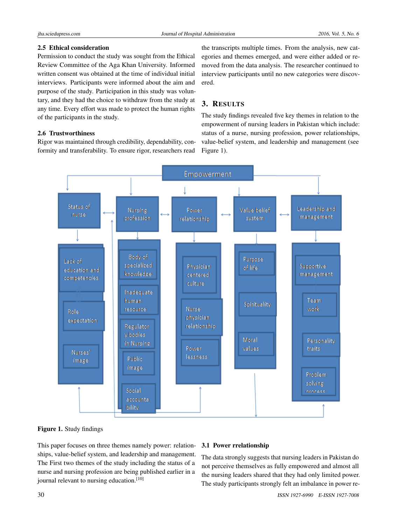#### 2.5 Ethical consideration

Permission to conduct the study was sought from the Ethical Review Committee of the Aga Khan University. Informed written consent was obtained at the time of individual initial interviews. Participants were informed about the aim and purpose of the study. Participation in this study was voluntary, and they had the choice to withdraw from the study at any time. Every effort was made to protect the human rights of the participants in the study.

#### 2.6 Trustworthiness

Rigor was maintained through credibility, dependability, conformity and transferability. To ensure rigor, researchers read

the transcripts multiple times. From the analysis, new categories and themes emerged, and were either added or removed from the data analysis. The researcher continued to interview participants until no new categories were discovered.

### 3. RESULTS

The study findings revealed five key themes in relation to the empowerment of nursing leaders in Pakistan which include: status of a nurse, nursing profession, power relationships, value-belief system, and leadership and management (see Figure [1\)](#page-4-0).



<span id="page-4-0"></span>Figure 1. Study findings

This paper focuses on three themes namely power: relationships, value-belief system, and leadership and management. The First two themes of the study including the status of a nurse and nursing profession are being published earlier in a journal relevant to nursing education.<sup>[\[10\]](#page-10-8)</sup>

#### 3.1 Power rrelationship

The data strongly suggests that nursing leaders in Pakistan do not perceive themselves as fully empowered and almost all the nursing leaders shared that they had only limited power. The study participants strongly felt an imbalance in power re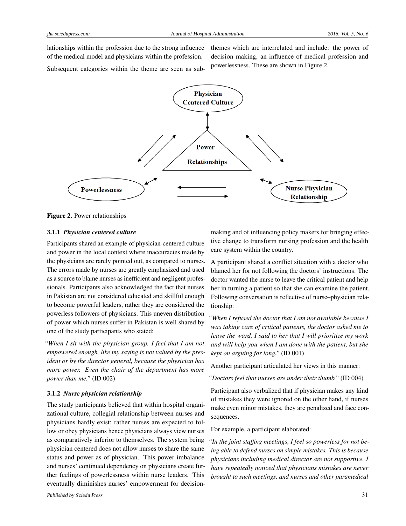lationships within the profession due to the strong influence of the medical model and physicians within the profession.

themes which are interrelated and include: the power of decision making, an influence of medical profession and powerlessness. These are shown in Figure [2.](#page-5-0)

Subsequent categories within the theme are seen as sub-



<span id="page-5-0"></span>Figure 2. Power relationships

#### 3.1.1 *Physician centered culture*

Participants shared an example of physician-centered culture and power in the local context where inaccuracies made by the physicians are rarely pointed out, as compared to nurses. The errors made by nurses are greatly emphasized and used as a source to blame nurses as inefficient and negligent professionals. Participants also acknowledged the fact that nurses in Pakistan are not considered educated and skillful enough to become powerful leaders, rather they are considered the powerless followers of physicians. This uneven distribution of power which nurses suffer in Pakistan is well shared by one of the study participants who stated:

*"When I sit with the physician group, I feel that I am not empowered enough, like my saying is not valued by the president or by the director general, because the physician has more power. Even the chair of the department has more power than me."* (ID 002)

#### 3.1.2 *Nurse physician relationship*

The study participants believed that within hospital organizational culture, collegial relationship between nurses and physicians hardly exist; rather nurses are expected to follow or obey physicians hence physicians always view nurses as comparatively inferior to themselves. The system being physician centered does not allow nurses to share the same status and power as of physician. This power imbalance and nurses' continued dependency on physicians create further feelings of powerlessness within nurse leaders. This eventually diminishes nurses' empowerment for decision-

making and of influencing policy makers for bringing effective change to transform nursing profession and the health care system within the country.

A participant shared a conflict situation with a doctor who blamed her for not following the doctors' instructions. The doctor wanted the nurse to leave the critical patient and help her in turning a patient so that she can examine the patient. Following conversation is reflective of nurse–physician relationship:

*"When I refused the doctor that I am not available because I was taking care of critical patients, the doctor asked me to leave the ward, I said to her that I will prioritize my work and will help you when I am done with the patient, but she kept on arguing for long."* (ID 001)

Another participant articulated her views in this manner:

*"Doctors feel that nurses are under their thumb."* (ID 004)

Participant also verbalized that if physician makes any kind of mistakes they were ignored on the other hand, if nurses make even minor mistakes, they are penalized and face consequences.

For example, a participant elaborated:

*"In the joint staffing meetings, I feel so powerless for not being able to defend nurses on simple mistakes. This is because physicians including medical director are not supportive. I have repeatedly noticed that physicians mistakes are never brought to such meetings, and nurses and other paramedical*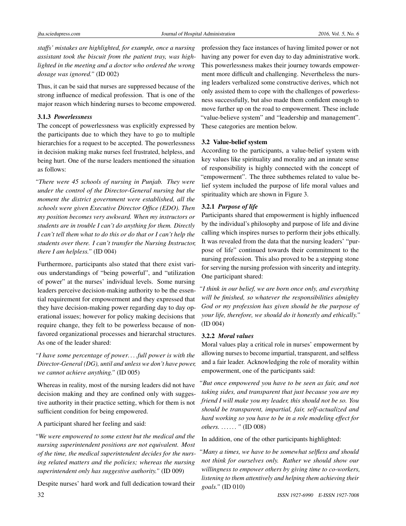*staffs' mistakes are highlighted, for example, once a nursing assistant took the biscuit from the patient tray, was highlighted in the meeting and a doctor who ordered the wrong dosage was ignored."* (ID 002)

Thus, it can be said that nurses are suppressed because of the strong influence of medical profession. That is one of the major reason which hindering nurses to become empowered.

#### 3.1.3 *Powerlessness*

The concept of powerlessness was explicitly expressed by the participants due to which they have to go to multiple hierarchies for a request to be accepted. The powerlessness in decision making make nurses feel frustrated, helpless, and being hurt. One of the nurse leaders mentioned the situation as follows:

*"There were 45 schools of nursing in Punjab. They were under the control of the Director-General nursing but the moment the district government were established, all the schools were given Executive Director Office (EDO). Then my position becomes very awkward. When my instructors or students are in trouble I can't do anything for them. Directly I can't tell them what to do this or do that or I can't help the students over there. I can't transfer the Nursing Instructor, there I am helpless."* (ID 004)

Furthermore, participants also stated that there exist various understandings of "being powerful", and "utilization of power" at the nurses' individual levels. Some nursing leaders perceive decision-making authority to be the essential requirement for empowerment and they expressed that they have decision-making power regarding day to day operational issues; however for policy making decisions that require change, they felt to be powerless because of nonfavored organizational processes and hierarchal structures. As one of the leader shared:

*"I have some percentage of power. . . .full power is with the Director-General (DG), until and unless we don't have power, we cannot achieve anything."* (ID 005)

Whereas in reality, most of the nursing leaders did not have decision making and they are confined only with suggestive authority in their practice setting, which for them is not sufficient condition for being empowered.

A participant shared her feeling and said:

*"We were empowered to some extent but the medical and the nursing superintendent positions are not equivalent. Most of the time, the medical superintendent decides for the nursing related matters and the policies; whereas the nursing superintendent only has suggestive authority."* (ID 009)

Despite nurses' hard work and full dedication toward their

profession they face instances of having limited power or not having any power for even day to day administrative work. This powerlessness makes their journey towards empowerment more difficult and challenging. Nevertheless the nursing leaders verbalized some constructive derives, which not only assisted them to cope with the challenges of powerlessness successfully, but also made them confident enough to move further up on the road to empowerment. These include "value-believe system" and "leadership and management". These categories are mention below.

#### 3.2 Value-belief system

According to the participants, a value-belief system with key values like spirituality and morality and an innate sense of responsibility is highly connected with the concept of "empowerment". The three subthemes related to value belief system included the purpose of life moral values and spirituality which are shown in Figure [3.](#page-7-0)

#### 3.2.1 *Purpose of life*

Participants shared that empowerment is highly influenced by the individual's philosophy and purpose of life and divine calling which inspires nurses to perform their jobs ethically. It was revealed from the data that the nursing leaders' "purpose of life" continued towards their commitment to the nursing profession. This also proved to be a stepping stone for serving the nursing profession with sincerity and integrity. One participant shared:

*"I think in our belief, we are born once only, and everything will be finished, so whatever the responsibilities almighty God or my profession has given should be the purpose of your life, therefore, we should do it honestly and ethically."* (ID 004)

#### 3.2.2 *Moral values*

Moral values play a critical role in nurses' empowerment by allowing nurses to become impartial, transparent, and selfless and a fair leader. Acknowledging the role of morality within empowerment, one of the participants said:

*"But once empowered you have to be seen as fair, and not taking sides, and transparent that just because you are my friend I will make you my leader, this should not be so. You should be transparent, impartial, fair, self-actualized and hard working so you have to be in a role modeling effect for others. . . . . . . "* (ID 008)

In addition, one of the other participants highlighted:

*"Many a times, we have to be somewhat selfless and should not think for ourselves only. Rather we should show our willingness to empower others by giving time to co-workers, listening to them attentively and helping them achieving their goals."* (ID 010)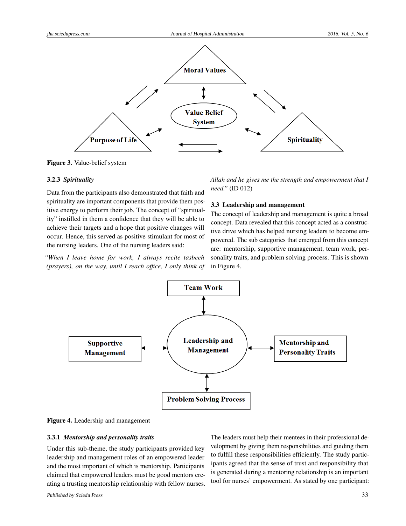

<span id="page-7-0"></span>Figure 3. Value-belief system

#### 3.2.3 *Spirituality*

Data from the participants also demonstrated that faith and spirituality are important components that provide them positive energy to perform their job. The concept of "spirituality" instilled in them a confidence that they will be able to achieve their targets and a hope that positive changes will occur. Hence, this served as positive stimulant for most of the nursing leaders. One of the nursing leaders said:

*"When I leave home for work, I always recite tasbeeh (prayers), on the way, until I reach office, I only think of*

*Allah and he gives me the strength and empowerment that I need."* (ID 012)

#### 3.3 Leadership and management

The concept of leadership and management is quite a broad concept. Data revealed that this concept acted as a constructive drive which has helped nursing leaders to become empowered. The sub categories that emerged from this concept are: mentorship, supportive management, team work, personality traits, and problem solving process. This is shown in Figure [4.](#page-7-1)



<span id="page-7-1"></span>Figure 4. Leadership and management

#### 3.3.1 *Mentorship and personality traits*

Under this sub-theme, the study participants provided key leadership and management roles of an empowered leader and the most important of which is mentorship. Participants claimed that empowered leaders must be good mentors creating a trusting mentorship relationship with fellow nurses. The leaders must help their mentees in their professional development by giving them responsibilities and guiding them to fulfill these responsibilities efficiently. The study participants agreed that the sense of trust and responsibility that is generated during a mentoring relationship is an important tool for nurses' empowerment. As stated by one participant: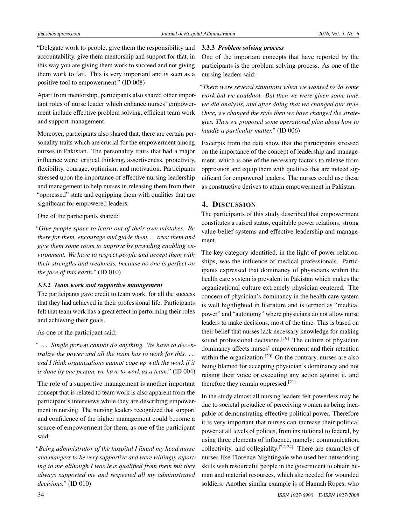"Delegate work to people, give them the responsibility and accountability, give them mentorship and support for that, in this way you are giving them work to succeed and not giving them work to fail. This is very important and is seen as a positive tool to empowerment." (ID 008)

Apart from mentorship, participants also shared other important roles of nurse leader which enhance nurses' empowerment include effective problem solving, efficient team work and support management.

Moreover, participants also shared that, there are certain personality traits which are crucial for the empowerment among nurses in Pakistan. The personality traits that had a major influence were: critical thinking, assertiveness, proactivity, flexibility, courage, optimism, and motivation. Participants stressed upon the importance of effective nursing leadership and management to help nurses in releasing them from their "oppressed" state and equipping them with qualities that are significant for empowered leaders.

One of the participants shared:

*"Give people space to learn out of their own mistakes. Be there for them, encourage and guide them. . . trust them and give them some room to improve by providing enabling environment. We have to respect people and accept them with their strengths and weakness, because no one is perfect on the face of this earth."* (ID 010)

#### 3.3.2 *Team work and supportive management*

The participants gave credit to team work, for all the success that they had achieved in their professional life. Participants felt that team work has a great effect in performing their roles and achieving their goals.

As one of the participant said:

*" . . . Single person cannot do anything. We have to decentralize the power and all the team has to work for this. . . . and I think organizations cannot cope up with the work if it is done by one person, we have to work as a team."* (ID 004)

The role of a supportive management is another important concept that is related to team work is also apparent from the participant's interviews while they are describing empowerment in nursing. The nursing leaders recognized that support and confidence of the higher management could become a source of empowerment for them, as one of the participant said:

*"Being administrator of the hospital I found my head nurse and mangers to be very supportive and were willingly reporting to me although I was less qualified from them but they always supported me and respected all my administrated decisions."* (ID 010)

#### 3.3.3 *Problem solving process*

One of the important concepts that have reported by the participants is the problem solving process. As one of the nursing leaders said:

*"There were several situations when we wanted to do some work but we couldnot. But then we were given some time, we did analysis, and after doing that we changed our style. Once, we changed the style then we have changed the strategies. Then we proposed some operational plan about how to handle a particular matter."* (ID 006)

Excerpts from the data show that the participants stressed on the importance of the concept of leadership and management, which is one of the necessary factors to release from oppression and equip them with qualities that are indeed significant for empowered leaders. The nurses could use these as constructive derives to attain empowerment in Pakistan.

#### 4. DISCUSSION

The participants of this study described that empowerment constitutes a raised status, equitable power relations, strong value-belief systems and effective leadership and management.

The key category identified, in the light of power relationships, was the influence of medical professionals. Participants expressed that dominancy of physicians within the health care system is prevalent in Pakistan which makes the organizational culture extremely physician centered. The concern of physician's dominancy in the health care system is well highlighted in literature and is termed as "medical power" and "autonomy" where physicians do not allow nurse leaders to make decisions, most of the time. This is based on their belief that nurses lack necessary knowledge for making sound professional decisions.<sup>[\[19\]](#page-10-15)</sup> The culture of physician dominancy affects nurses' empowerment and their retention within the organization.<sup>[\[20\]](#page-10-16)</sup> On the contrary, nurses are also being blamed for accepting physician's dominancy and not raising their voice or executing any action against it, and therefore they remain oppressed.[\[21\]](#page-10-17)

In the study almost all nursing leaders felt powerless may be due to societal prejudice of perceiving women as being incapable of demonstrating effective political power. Therefore it is very important that nurses can increase their political power at all levels of politics, from institutional to federal, by using three elements of influence, namely: communication, collectivity, and collegiality.<sup>[\[22–](#page-11-0)[24\]](#page-11-1)</sup> There are examples of nurses like Florence Nightingale who used her networking skills with resourceful people in the government to obtain human and material resources, which she needed for wounded soldiers. Another similar example is of Hannah Ropes, who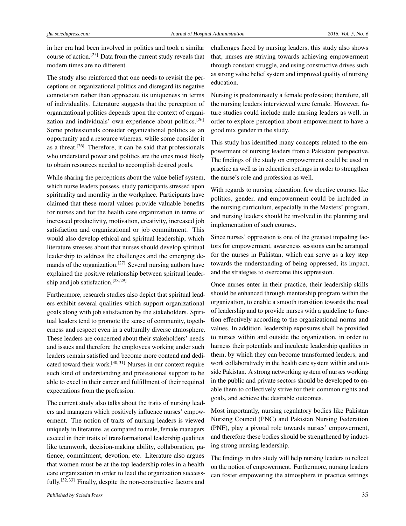in her era had been involved in politics and took a similar course of action.[\[25\]](#page-11-2) Data from the current study reveals that modern times are no different.

The study also reinforced that one needs to revisit the perceptions on organizational politics and disregard its negative connotation rather than appreciate its uniqueness in terms of individuality. Literature suggests that the perception of organizational politics depends upon the context of organization and individuals' own experience about politics.[\[26\]](#page-11-3) Some professionals consider organizational politics as an opportunity and a resource whereas; while some consider it as a threat.[\[26\]](#page-11-3) Therefore, it can be said that professionals who understand power and politics are the ones most likely to obtain resources needed to accomplish desired goals.

While sharing the perceptions about the value belief system, which nurse leaders possess, study participants stressed upon spirituality and morality in the workplace. Participants have claimed that these moral values provide valuable benefits for nurses and for the health care organization in terms of increased productivity, motivation, creativity, increased job satisfaction and organizational or job commitment. This would also develop ethical and spiritual leadership, which literature stresses about that nurses should develop spiritual leadership to address the challenges and the emerging de-mands of the organization.<sup>[\[27\]](#page-11-4)</sup> Several nursing authors have explained the positive relationship between spiritual leadership and job satisfaction.[\[28,](#page-11-5) [29\]](#page-11-6)

Furthermore, research studies also depict that spiritual leaders exhibit several qualities which support organizational goals along with job satisfaction by the stakeholders. Spiritual leaders tend to promote the sense of community, togetherness and respect even in a culturally diverse atmosphere. These leaders are concerned about their stakeholders' needs and issues and therefore the employees working under such leaders remain satisfied and become more contend and dedicated toward their work.[\[30,](#page-11-7) [31\]](#page-11-8) Nurses in our context require such kind of understanding and professional support to be able to excel in their career and fulfillment of their required expectations from the profession.

The current study also talks about the traits of nursing leaders and managers which positively influence nurses' empowerment. The notion of traits of nursing leaders is viewed uniquely in literature, as compared to male, female managers exceed in their traits of transformational leadership qualities like teamwork, decision-making ability, collaboration, patience, commitment, devotion, etc. Literature also argues that women must be at the top leadership roles in a health care organization in order to lead the organization success-fully.<sup>[\[32,](#page-11-9) [33\]](#page-11-10)</sup> Finally, despite the non-constructive factors and

challenges faced by nursing leaders, this study also shows that, nurses are striving towards achieving empowerment through constant struggle, and using constructive drives such as strong value belief system and improved quality of nursing education.

Nursing is predominately a female profession; therefore, all the nursing leaders interviewed were female. However, future studies could include male nursing leaders as well, in order to explore perception about empowerment to have a good mix gender in the study.

This study has identified many concepts related to the empowerment of nursing leaders from a Pakistani perspective. The findings of the study on empowerment could be used in practice as well as in education settings in order to strengthen the nurse's role and profession as well.

With regards to nursing education, few elective courses like politics, gender, and empowerment could be included in the nursing curriculum, especially in the Masters' program, and nursing leaders should be involved in the planning and implementation of such courses.

Since nurses' oppression is one of the greatest impeding factors for empowerment, awareness sessions can be arranged for the nurses in Pakistan, which can serve as a key step towards the understanding of being oppressed, its impact, and the strategies to overcome this oppression.

Once nurses enter in their practice, their leadership skills should be enhanced through mentorship program within the organization, to enable a smooth transition towards the road of leadership and to provide nurses with a guideline to function effectively according to the organizational norms and values. In addition, leadership exposures shall be provided to nurses within and outside the organization, in order to harness their potentials and inculcate leadership qualities in them, by which they can become transformed leaders, and work collaboratively in the health care system within and outside Pakistan. A strong networking system of nurses working in the public and private sectors should be developed to enable them to collectively strive for their common rights and goals, and achieve the desirable outcomes.

Most importantly, nursing regulatory bodies like Pakistan Nursing Council (PNC) and Pakistan Nursing Federation (PNF), play a pivotal role towards nurses' empowerment, and therefore these bodies should be strengthened by inducting strong nursing leadership.

The findings in this study will help nursing leaders to reflect on the notion of empowerment. Furthermore, nursing leaders can foster empowering the atmosphere in practice settings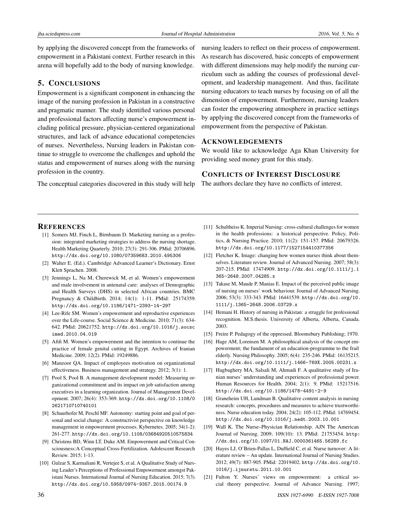by applying the discovered concept from the frameworks of empowerment in a Pakistani context. Further research in this arena will hopefully add to the body of nursing knowledge.

#### 5. CONCLUSIONS

Empowerment is a significant component in enhancing the image of the nursing profession in Pakistan in a constructive and pragmatic manner. The study identified various personal and professional factors affecting nurse's empowerment including political pressure, physician-centered organizational structures, and lack of advance educational competencies of nurses. Nevertheless, Nursing leaders in Pakistan continue to struggle to overcome the challenges and uphold the status and empowerment of nurses along with the nursing profession in the country.

nursing leaders to reflect on their process of empowerment. As research has discovered, basic concepts of empowerment with different dimensions may help modify the nursing curriculum such as adding the courses of professional development, and leadership management. And thus, facilitate nursing educators to teach nurses by focusing on of all the dimension of empowerment. Furthermore, nursing leaders can foster the empowering atmosphere in practice settings by applying the discovered concept from the frameworks of empowerment from the perspective of Pakistan.

#### ACKNOWLEDGEMENTS

We would like to acknowledge Aga Khan University for providing seed money grant for this study.

#### CONFLICTS OF INTEREST DISCLOSURE

The authors declare they have no conflicts of interest.

The conceptual categories discovered in this study will help

#### **REFERENCES**

- <span id="page-10-0"></span>[1] Somers MJ, Finch L, Birnbaum D. Marketing nursing as a profession: integrated marketing strategies to address the nursing shortage. Health Marketing Quarterly. 2010; 27(3): 291-306. PMid: 20706896. <http://dx.doi.org/10.1080/07359683.2010.495306>
- <span id="page-10-1"></span>[2] Walter E. (Ed.). Cambridge Advanced Learner's Dictionary. Ernst Klett Sprachen. 2008.
- <span id="page-10-2"></span>[3] Jennings L, Na M, Cherewick M, et al. Women's empowerment and male involvement in antenatal care: analyses of Demographic and Health Surveys (DHS) in selected African countries. BMC Pregnancy & Childbirth. 2014; 14(1): 1-11. PMid: 25174359. <http://dx.doi.org/10.1186/1471-2393-14-297>
- <span id="page-10-3"></span>[4] Lee-Rife SM. Women's empowerment and reproductive experiences over the Life-course. Social Science & Medicine. 2010; 71(3): 634- 642. PMid: 20621752. [http://dx.doi.org/10.1016/j.socsc](http://dx.doi.org/10.1016/j.socscimed.2010.04.019) [imed.2010.04.019](http://dx.doi.org/10.1016/j.socscimed.2010.04.019)
- <span id="page-10-4"></span>[5] Afifi M. Women's empowerment and the intention to continue the practice of female genital cutting in Egypt. Archives of Iranian Medicine. 2009; 12(2). PMid: 19249886.
- <span id="page-10-5"></span>[6] Manzoor QA. Impact of employees motivation on organizational effectiveness. Business management and strategy. 2012; 3(1): 1.
- [7] Pool S, Pool B. A management development model: Measuring organizational commitment and its impact on job satisfaction among executives in a learning organization. Journal of Management Development. 2007; 26(4): 353-369. [http://dx.doi.org/10.1108/0](http://dx.doi.org/10.1108/02621710710740101) [2621710710740101](http://dx.doi.org/10.1108/02621710710740101)
- <span id="page-10-6"></span>[8] Schaurhofer M, Peschl MF. Autonomy: starting point and goal of personal and social change: A constructivist perspective on knowledge management in empowerment processes. Kybernetes. 2005; 34(1-2): 261-277. <http://dx.doi.org/10.1108/03684920510575834>
- <span id="page-10-7"></span>[9] Christens BD, Winn LT, Duke AM. Empowerment and Critical Consciousness:A Conceptual Cross-Fertilization. Adolescent Research Review. 2015; 1-13.
- <span id="page-10-8"></span>[10] Gulzar S, Karmaliani R, Vertejee S, et al. A Qualitative Study of Nursing Leader's Perceptions of Professional Empowerment amongst Pakistani Nurses. International Journal of Nursing Education. 2015; 7(3). <http://dx.doi.org/10.5958/0974-9357.2015.00174.9>
- <span id="page-10-9"></span>[11] Schultheiss K. Imperial Nursing: cross-cultural challenges for women in the health professions: a historical perspective. Policy, Politics, & Nursing Practice. 2010; 11(2): 151-157. PMid: 20679326. <http://dx.doi.org/10.1177/1527154410377356>
- [12] Fletcher K. Image: changing how women nurses think about themselves. Literature review. Journal of Advanced Nursing. 2007; 58(3): 207-215. PMid: 17474909. [http://dx.doi.org/10.1111/j.1](http://dx.doi.org/10.1111/j.1365-2648.2007.04285.x) [365-2648.2007.04285.x](http://dx.doi.org/10.1111/j.1365-2648.2007.04285.x)
- [13] Takase M, Maude P, Manias E. Impact of the perceived public image of nursing on nurses' work behaviour. Journal of Advanced Nursing. 2006; 53(3): 333-343. PMid: 16441539. [http://dx.doi.org/10.](http://dx.doi.org/10.1111/j.1365-2648.2006.03729.x) [1111/j.1365-2648.2006.03729.x](http://dx.doi.org/10.1111/j.1365-2648.2006.03729.x)
- <span id="page-10-10"></span>[14] Hemani H. History of nursing in Pakistan: a struggle for professional recognition. M.S.thesis. University of Alberta, Alberta, Canada. 2003.
- <span id="page-10-11"></span>[15] Freire P. Pedagogy of the oppressed. Bloomsbury Publishing; 1970.
- <span id="page-10-12"></span>[16] Hage AM, Lorensen M. A philosophical analysis of the concept empowerment; the fundament of an education-programme to the frail elderly. Nursing Philosophy. 2005; 6(4): 235-246. PMid: 16135215. <http://dx.doi.org/10.1111/j.1466-769X.2005.00231.x>
- <span id="page-10-13"></span>[17] Hagbaghery MA, Salsali M, Ahmadi F. A qualitative study of Iranian nurses' understanding and experiences of professional power. Human Resources for Health. 2004; 2(1): 9. PMid: 15217516. <http://dx.doi.org/10.1186/1478-4491-2-9>
- <span id="page-10-14"></span>[18] Graneheim UH, Lundman B. Qualitative content analysis in nursing research: concepts, procedures and measures to achieve trustworthiness. Nurse education today. 2004; 24(2): 105-112. PMid: 14769454. <http://dx.doi.org/10.1016/j.nedt.2003.10.001>
- <span id="page-10-15"></span>[19] Wall K. The Nurse–Physician Relationship. AJN The American Journal of Nursing. 2009; 109(10): 13. PMid: 21753454. [http:](http://dx.doi.org/10.1097/01.NAJ.0000361465.56289.fc) [//dx.doi.org/10.1097/01.NAJ.0000361465.56289.fc](http://dx.doi.org/10.1097/01.NAJ.0000361465.56289.fc)
- <span id="page-10-16"></span>[20] Hayes LJ, O'Brien-Pallas L, Duffield C, et al. Nurse turnover: A literature review – An update. International Journal of Nursing Studies. 2012; 49(7): 887-905. PMid: 22019402. [http://dx.doi.org/10.](http://dx.doi.org/10.1016/j.ijnurstu.2011.10.001) [1016/j.ijnurstu.2011.10.001](http://dx.doi.org/10.1016/j.ijnurstu.2011.10.001)
- <span id="page-10-17"></span>[21] Fulton Y. Nurses' views on empowerment: a critical social theory perspective. Journal of Advance Nursing. 1997;